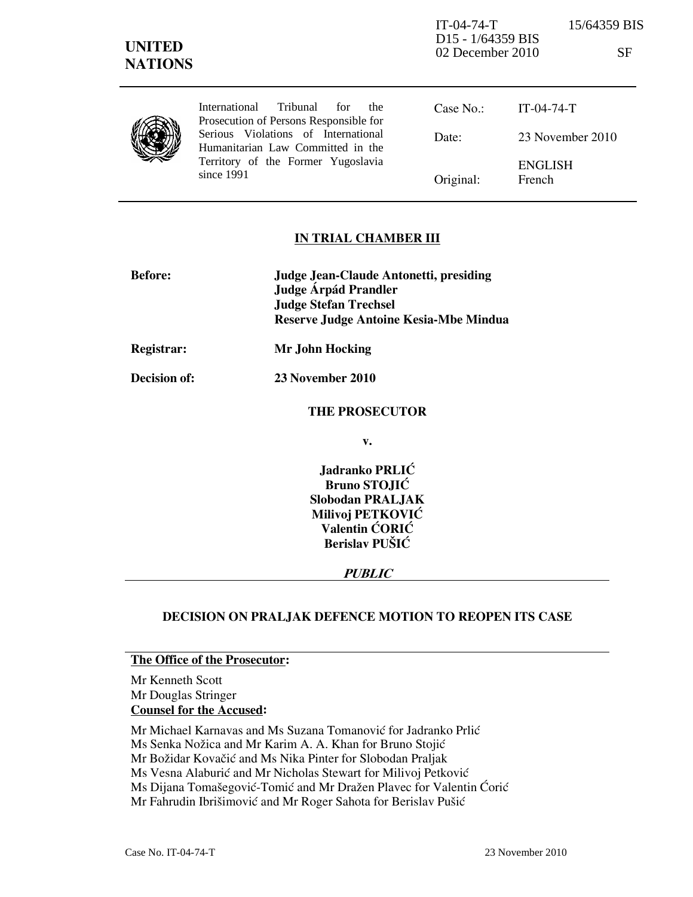IT-04-74-T 15/64359 BIS D15 - 1/64359 BIS 02 December 2010 SF

|  | International Tribunal for<br>the<br>Prosecution of Persons Responsible for | Case No.  | IT-04-74-T               |
|--|-----------------------------------------------------------------------------|-----------|--------------------------|
|  | Serious Violations of International<br>Humanitarian Law Committed in the    | Date:     | 23 November 2010         |
|  | Territory of the Former Yugoslavia<br>since 1991                            | Original: | <b>ENGLISH</b><br>French |

## IN TRIAL CHAMBER III

| <b>Before:</b> | Judge Jean-Claude Antonetti, presiding<br>Judge Árpád Prandler<br><b>Judge Stefan Trechsel</b><br><b>Reserve Judge Antoine Kesia-Mbe Mindua</b> |
|----------------|-------------------------------------------------------------------------------------------------------------------------------------------------|
| Registrar:     | Mr John Hocking                                                                                                                                 |

Decision of: 23 November 2010

#### THE PROSECUTOR

v.

Jadranko PRLIĆ Bruno STOJIĆ Slobodan PRALJAK Milivoj PETKOVIĆ Valentin ĆORIĆ Berislav PUŠIĆ

#### PUBLIC

# DECISION ON PRALJAK DEFENCE MOTION TO REOPEN ITS CASE

# The Office of the Prosecutor:

Mr Kenneth Scott Mr Douglas Stringer Counsel for the Accused:

Mr Michael Karnavas and Ms Suzana Tomanović for Jadranko Prlić

Ms Senka Nožica and Mr Karim A. A. Khan for Bruno Stojić

Mr Božidar Kovačić and Ms Nika Pinter for Slobodan Praljak

Ms Vesna Alaburić and Mr Nicholas Stewart for Milivoj Petković

Ms Dijana Tomašegović-Tomić and Mr Dražen Plavec for Valentin Ćorić

Mr Fahrudin Ibrišimović and Mr Roger Sahota for Berislav Pušić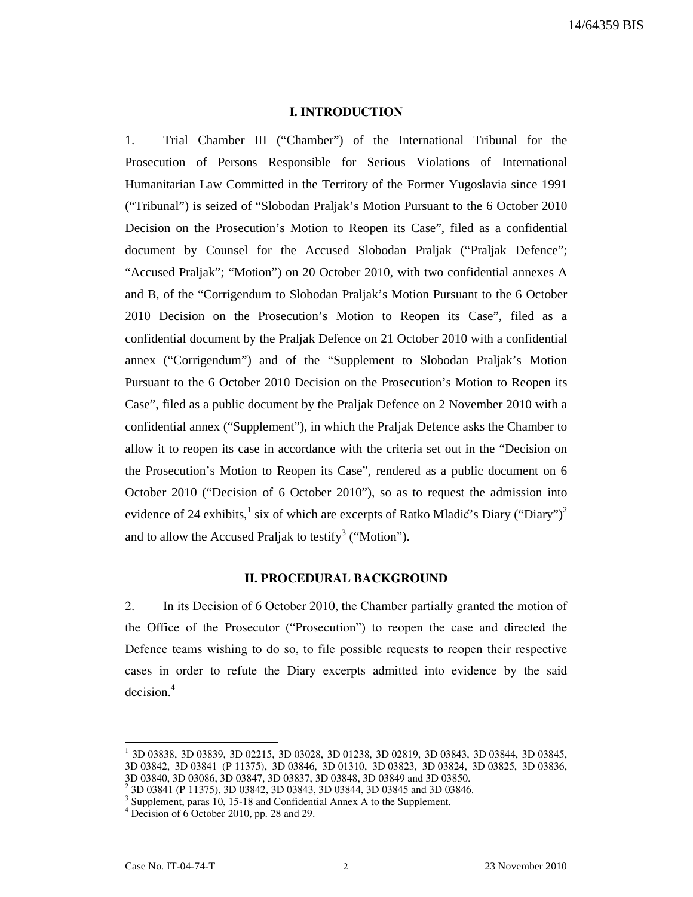## I. INTRODUCTION

1. Trial Chamber III ("Chamber") of the International Tribunal for the Prosecution of Persons Responsible for Serious Violations of International Humanitarian Law Committed in the Territory of the Former Yugoslavia since 1991 ("Tribunal") is seized of "Slobodan Praljak's Motion Pursuant to the 6 October 2010 Decision on the Prosecution's Motion to Reopen its Case", filed as a confidential document by Counsel for the Accused Slobodan Praljak ("Praljak Defence"; "Accused Praljak"; "Motion") on 20 October 2010, with two confidential annexes A and B, of the "Corrigendum to Slobodan Praljak's Motion Pursuant to the 6 October 2010 Decision on the Prosecution's Motion to Reopen its Case", filed as a confidential document by the Praljak Defence on 21 October 2010 with a confidential annex ("Corrigendum") and of the "Supplement to Slobodan Praljak's Motion Pursuant to the 6 October 2010 Decision on the Prosecution's Motion to Reopen its Case", filed as a public document by the Praljak Defence on 2 November 2010 with a confidential annex ("Supplement"), in which the Praljak Defence asks the Chamber to allow it to reopen its case in accordance with the criteria set out in the "Decision on the Prosecution's Motion to Reopen its Case", rendered as a public document on 6 October 2010 ("Decision of 6 October 2010"), so as to request the admission into evidence of 24 exhibits,  $\frac{1}{2}$  six of which are excerpts of Ratko Mladić's Diary ("Diary")<sup>2</sup> and to allow the Accused Praljak to testify<sup>3</sup> ("Motion").

## II. PROCEDURAL BACKGROUND

2. In its Decision of 6 October 2010, the Chamber partially granted the motion of the Office of the Prosecutor ("Prosecution") to reopen the case and directed the Defence teams wishing to do so, to file possible requests to reopen their respective cases in order to refute the Diary excerpts admitted into evidence by the said decision.<sup>4</sup>

<sup>1</sup> 3D 03838, 3D 03839, 3D 02215, 3D 03028, 3D 01238, 3D 02819, 3D 03843, 3D 03844, 3D 03845, 3D 03842, 3D 03841 (P 11375), 3D 03846, 3D 01310, 3D 03823, 3D 03824, 3D 03825, 3D 03836, 3D 03840, 3D 03086, 3D 03847, 3D 03837, 3D 03848, 3D 03849 and 3D 03850.

<sup>2</sup> 3D 03841 (P 11375), 3D 03842, 3D 03843, 3D 03844, 3D 03845 and 3D 03846.

<sup>&</sup>lt;sup>3</sup> Supplement, paras 10, 15-18 and Confidential Annex A to the Supplement.

<sup>4</sup> Decision of 6 October 2010, pp. 28 and 29.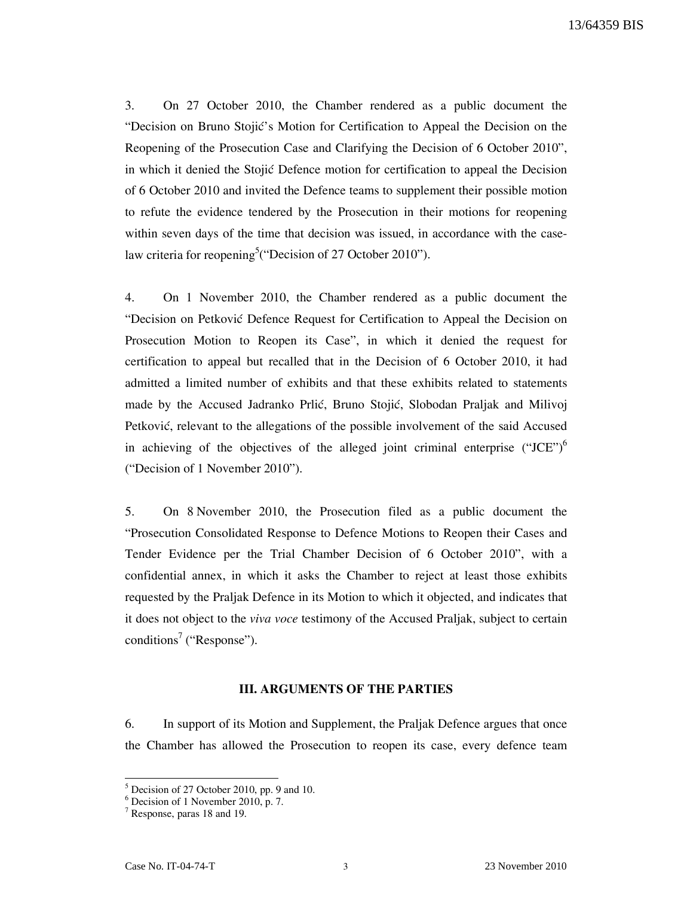3. On 27 October 2010, the Chamber rendered as a public document the "Decision on Bruno Stojić's Motion for Certification to Appeal the Decision on the Reopening of the Prosecution Case and Clarifying the Decision of 6 October 2010", in which it denied the Stojic Defence motion for certification to appeal the Decision of 6 October 2010 and invited the Defence teams to supplement their possible motion to refute the evidence tendered by the Prosecution in their motions for reopening within seven days of the time that decision was issued, in accordance with the caselaw criteria for reopening<sup>5</sup> ("Decision of 27 October 2010").

4. On 1 November 2010, the Chamber rendered as a public document the "Decision on Petković Defence Request for Certification to Appeal the Decision on Prosecution Motion to Reopen its Case", in which it denied the request for certification to appeal but recalled that in the Decision of 6 October 2010, it had admitted a limited number of exhibits and that these exhibits related to statements made by the Accused Jadranko Prlić, Bruno Stojić, Slobodan Praljak and Milivoj Petković, relevant to the allegations of the possible involvement of the said Accused in achieving of the objectives of the alleged joint criminal enterprise  $("JCE")^6$ ("Decision of 1 November 2010").

5. On 8 November 2010, the Prosecution filed as a public document the "Prosecution Consolidated Response to Defence Motions to Reopen their Cases and Tender Evidence per the Trial Chamber Decision of 6 October 2010", with a confidential annex, in which it asks the Chamber to reject at least those exhibits requested by the Praljak Defence in its Motion to which it objected, and indicates that it does not object to the viva voce testimony of the Accused Praljak, subject to certain conditions<sup>7</sup> ("Response").

#### III. ARGUMENTS OF THE PARTIES

6. In support of its Motion and Supplement, the Praljak Defence argues that once the Chamber has allowed the Prosecution to reopen its case, every defence team

<sup>&</sup>lt;sup>5</sup> Decision of 27 October 2010, pp. 9 and 10.<br><sup>6</sup> Decision of 1 November 2010, p. 7.

<sup>7</sup> Response, paras 18 and 19.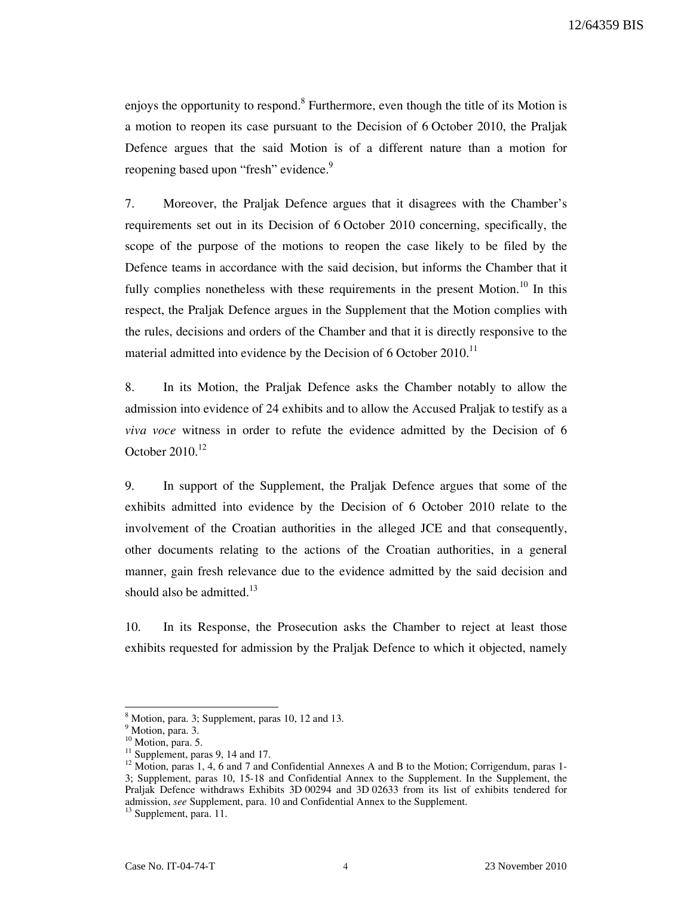enjoys the opportunity to respond.<sup>8</sup> Furthermore, even though the title of its Motion is a motion to reopen its case pursuant to the Decision of 6 October 2010, the Praljak Defence argues that the said Motion is of a different nature than a motion for reopening based upon "fresh" evidence.<sup>9</sup>

7. Moreover, the Praljak Defence argues that it disagrees with the Chamber's requirements set out in its Decision of 6 October 2010 concerning, specifically, the scope of the purpose of the motions to reopen the case likely to be filed by the Defence teams in accordance with the said decision, but informs the Chamber that it fully complies nonetheless with these requirements in the present Motion.<sup>10</sup> In this respect, the Praljak Defence argues in the Supplement that the Motion complies with the rules, decisions and orders of the Chamber and that it is directly responsive to the material admitted into evidence by the Decision of  $6$  October 2010.<sup>11</sup>

8. In its Motion, the Praljak Defence asks the Chamber notably to allow the admission into evidence of 24 exhibits and to allow the Accused Praljak to testify as a viva voce witness in order to refute the evidence admitted by the Decision of 6 October  $2010^{12}$ 

9. In support of the Supplement, the Praljak Defence argues that some of the exhibits admitted into evidence by the Decision of 6 October 2010 relate to the involvement of the Croatian authorities in the alleged JCE and that consequently, other documents relating to the actions of the Croatian authorities, in a general manner, gain fresh relevance due to the evidence admitted by the said decision and should also be admitted. $13$ 

10. In its Response, the Prosecution asks the Chamber to reject at least those exhibits requested for admission by the Praljak Defence to which it objected, namely

<sup>&</sup>lt;sup>8</sup> Motion, para. 3; Supplement, paras 10, 12 and 13.

<sup>&</sup>lt;sup>9</sup> Motion, para. 3.

 $^{10}$  Motion, para. 5.

<sup>&</sup>lt;sup>11</sup> Supplement, paras 9, 14 and 17.

<sup>&</sup>lt;sup>12</sup> Motion, paras 1, 4, 6 and 7 and Confidential Annexes A and B to the Motion; Corrigendum, paras 1-3; Supplement, paras 10, 15-18 and Confidential Annex to the Supplement. In the Supplement, the Praljak Defence withdraws Exhibits 3D 00294 and 3D 02633 from its list of exhibits tendered for admission, see Supplement, para. 10 and Confidential Annex to the Supplement.

<sup>&</sup>lt;sup>13</sup> Supplement, para. 11.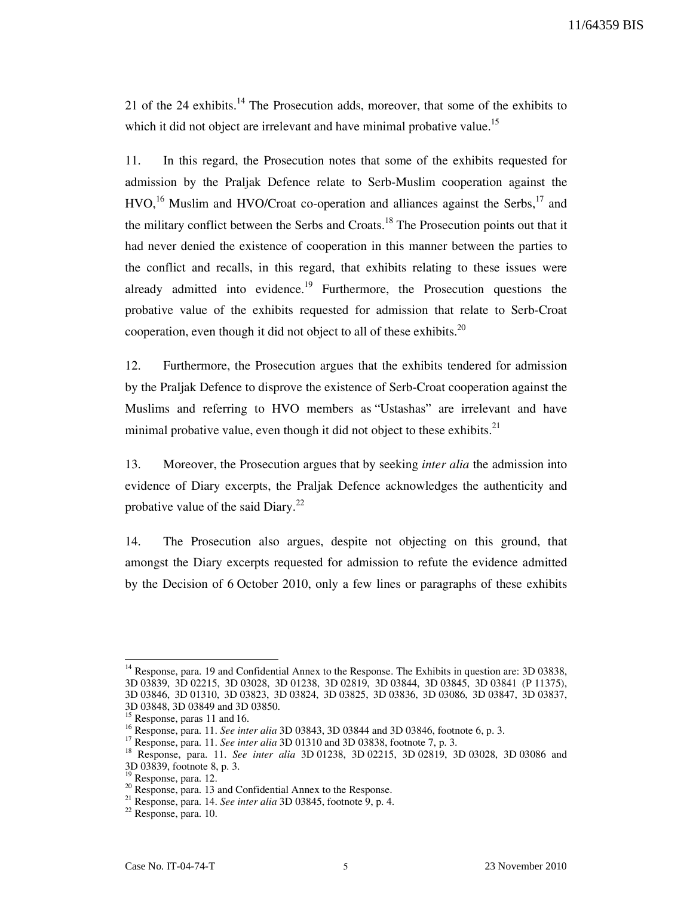21 of the 24 exhibits. $14$  The Prosecution adds, moreover, that some of the exhibits to which it did not object are irrelevant and have minimal probative value.<sup>15</sup>

11. In this regard, the Prosecution notes that some of the exhibits requested for admission by the Praljak Defence relate to Serb-Muslim cooperation against the  $HVO<sup>16</sup>$  Muslim and HVO/Croat co-operation and alliances against the Serbs,  $17$  and the military conflict between the Serbs and Croats.<sup>18</sup> The Prosecution points out that it had never denied the existence of cooperation in this manner between the parties to the conflict and recalls, in this regard, that exhibits relating to these issues were already admitted into evidence.<sup>19</sup> Furthermore, the Prosecution questions the probative value of the exhibits requested for admission that relate to Serb-Croat cooperation, even though it did not object to all of these exhibits.<sup>20</sup>

12. Furthermore, the Prosecution argues that the exhibits tendered for admission by the Praljak Defence to disprove the existence of Serb-Croat cooperation against the Muslims and referring to HVO members as "Ustashas" are irrelevant and have minimal probative value, even though it did not object to these exhibits. $21$ 

13. Moreover, the Prosecution argues that by seeking *inter alia* the admission into evidence of Diary excerpts, the Praljak Defence acknowledges the authenticity and probative value of the said Diary. $^{22}$ 

14. The Prosecution also argues, despite not objecting on this ground, that amongst the Diary excerpts requested for admission to refute the evidence admitted by the Decision of 6 October 2010, only a few lines or paragraphs of these exhibits

<sup>&</sup>lt;sup>14</sup> Response, para. 19 and Confidential Annex to the Response. The Exhibits in question are: 3D 03838, 3D 03839, 3D 02215, 3D 03028, 3D 01238, 3D 02819, 3D 03844, 3D 03845, 3D 03841 (P 11375), 3D 03846, 3D 01310, 3D 03823, 3D 03824, 3D 03825, 3D 03836, 3D 03086, 3D 03847, 3D 03837, 3D 03848, 3D 03849 and 3D 03850.

 $^{15}$  Response, paras 11 and 16.

<sup>&</sup>lt;sup>16</sup> Response, para. 11. See inter alia 3D 03843, 3D 03844 and 3D 03846, footnote 6, p. 3.

<sup>&</sup>lt;sup>17</sup> Response, para. 11. See inter alia 3D 01310 and 3D 03838, footnote 7, p. 3.

<sup>&</sup>lt;sup>18</sup> Response, para. 11. See inter alia 3D 01238, 3D 02215, 3D 02819, 3D 03028, 3D 03086 and 3D 03839, footnote 8, p. 3.

Response, para. 12.

<sup>20</sup> Response, para. 13 and Confidential Annex to the Response.

 $21$  Response, para. 14. See inter alia 3D 03845, footnote 9, p. 4.

 $22$  Response, para. 10.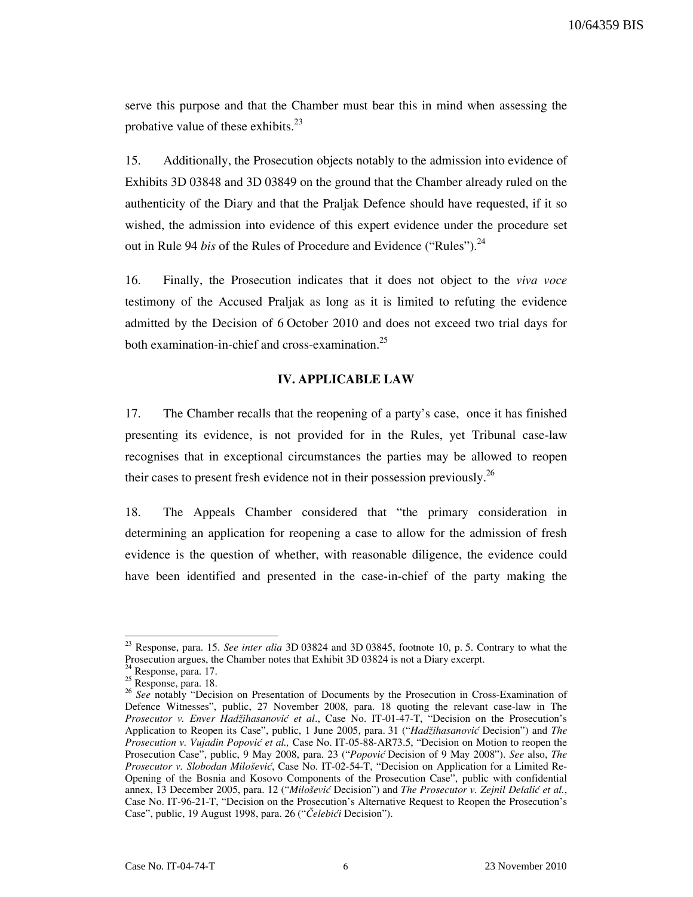serve this purpose and that the Chamber must bear this in mind when assessing the probative value of these exhibits. $^{23}$ 

15. Additionally, the Prosecution objects notably to the admission into evidence of Exhibits 3D 03848 and 3D 03849 on the ground that the Chamber already ruled on the authenticity of the Diary and that the Praljak Defence should have requested, if it so wished, the admission into evidence of this expert evidence under the procedure set out in Rule 94 bis of the Rules of Procedure and Evidence ("Rules").<sup>24</sup>

16. Finally, the Prosecution indicates that it does not object to the viva voce testimony of the Accused Praljak as long as it is limited to refuting the evidence admitted by the Decision of 6 October 2010 and does not exceed two trial days for both examination-in-chief and cross-examination. $^{25}$ 

#### IV. APPLICABLE LAW

17. The Chamber recalls that the reopening of a party's case, once it has finished presenting its evidence, is not provided for in the Rules, yet Tribunal case-law recognises that in exceptional circumstances the parties may be allowed to reopen their cases to present fresh evidence not in their possession previously.<sup>26</sup>

18. The Appeals Chamber considered that "the primary consideration in determining an application for reopening a case to allow for the admission of fresh evidence is the question of whether, with reasonable diligence, the evidence could have been identified and presented in the case-in-chief of the party making the

 $23$  Response, para. 15. See inter alia 3D 03824 and 3D 03845, footnote 10, p. 5. Contrary to what the Prosecution argues, the Chamber notes that Exhibit 3D 03824 is not a Diary excerpt.

<sup>&</sup>lt;sup>4</sup> Response, para. 17.

<sup>25</sup> Response, para. 18.

 $26$  See notably "Decision on Presentation of Documents by the Prosecution in Cross-Examination of Defence Witnesses", public, 27 November 2008, para. 18 quoting the relevant case-law in The Prosecutor v. Enver Hadžihasanović et al., Case No. IT-01-47-T, "Decision on the Prosecution's Application to Reopen its Case", public, 1 June 2005, para. 31 ("Hadžihasanović Decision") and The Prosecution v. Vujadin Popović et al., Case No. IT-05-88-AR73.5, "Decision on Motion to reopen the Prosecution Case", public, 9 May 2008, para. 23 ("Popović Decision of 9 May 2008"). See also, The Prosecutor v. Slobodan Milošević, Case No. IT-02-54-T, "Decision on Application for a Limited Re-Opening of the Bosnia and Kosovo Components of the Prosecution Case", public with confidential annex, 13 December 2005, para. 12 ("Milošević Decision") and The Prosecutor v. Zejnil Delalić et al., Case No. IT-96-21-T, "Decision on the Prosecution's Alternative Request to Reopen the Prosecution's Case", public, 19 August 1998, para. 26 ("Čelebići Decision").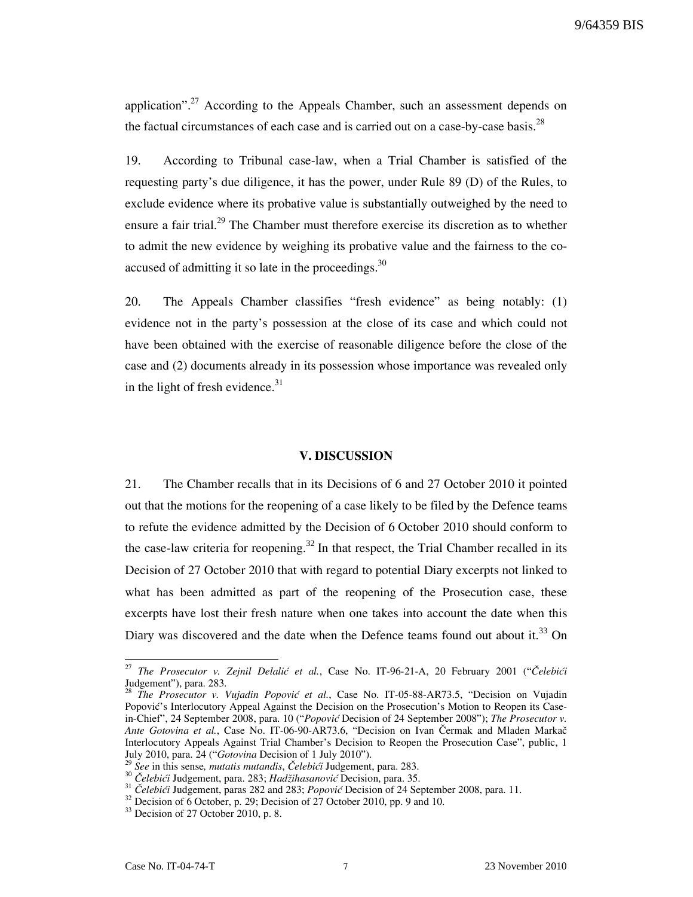application".<sup>27</sup> According to the Appeals Chamber, such an assessment depends on the factual circumstances of each case and is carried out on a case-by-case basis.<sup>28</sup>

19. According to Tribunal case-law, when a Trial Chamber is satisfied of the requesting party's due diligence, it has the power, under Rule 89 (D) of the Rules, to exclude evidence where its probative value is substantially outweighed by the need to ensure a fair trial.<sup>29</sup> The Chamber must therefore exercise its discretion as to whether to admit the new evidence by weighing its probative value and the fairness to the coaccused of admitting it so late in the proceedings. $30$ 

20. The Appeals Chamber classifies "fresh evidence" as being notably: (1) evidence not in the party's possession at the close of its case and which could not have been obtained with the exercise of reasonable diligence before the close of the case and (2) documents already in its possession whose importance was revealed only in the light of fresh evidence. $31$ 

#### V. DISCUSSION

21. The Chamber recalls that in its Decisions of 6 and 27 October 2010 it pointed out that the motions for the reopening of a case likely to be filed by the Defence teams to refute the evidence admitted by the Decision of 6 October 2010 should conform to the case-law criteria for reopening.<sup>32</sup> In that respect, the Trial Chamber recalled in its Decision of 27 October 2010 that with regard to potential Diary excerpts not linked to what has been admitted as part of the reopening of the Prosecution case, these excerpts have lost their fresh nature when one takes into account the date when this Diary was discovered and the date when the Defence teams found out about it.<sup>33</sup> On

 $27\,$ The Prosecutor v. Zejnil Delalić et al., Case No. IT-96-21-A, 20 February 2001 ("Čelebići Judgement"), para. 283.

The Prosecutor v. Vujadin Popović et al., Case No. IT-05-88-AR73.5, "Decision on Vujadin Popović's Interlocutory Appeal Against the Decision on the Prosecution's Motion to Reopen its Casein-Chief", 24 September 2008, para. 10 ("Popović Decision of 24 September 2008"); The Prosecutor v. Ante Gotovina et al., Case No. IT-06-90-AR73.6, "Decision on Ivan Čermak and Mladen Markač Interlocutory Appeals Against Trial Chamber's Decision to Reopen the Prosecution Case", public, 1 July 2010, para. 24 ("Gotovina Decision of 1 July 2010").

See in this sense, mutatis mutandis, Čelebići Judgement, para. 283.

<sup>30</sup> Čelebići Judgement, para. 283; Hadžihasanović Decision, para. 35.

 $31$   $\check{C}$ elebići Judgement, paras 282 and 283; *Popović* Decision of 24 September 2008, para. 11.

<sup>&</sup>lt;sup>32</sup> Decision of 6 October, p. 29; Decision of 27 October 2010, pp. 9 and 10.

<sup>&</sup>lt;sup>33</sup> Decision of 27 October 2010, p. 8.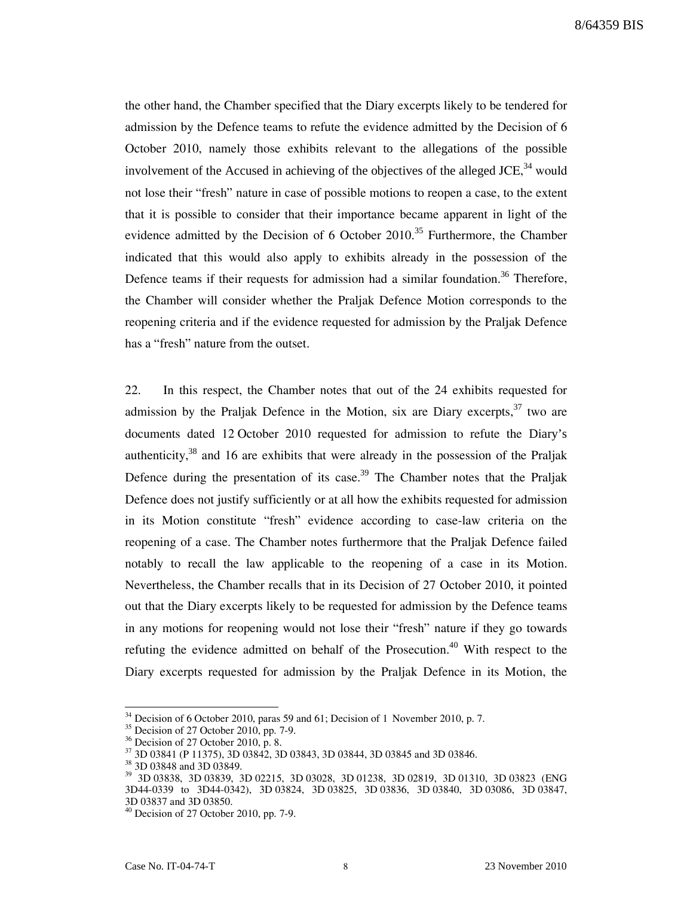the other hand, the Chamber specified that the Diary excerpts likely to be tendered for admission by the Defence teams to refute the evidence admitted by the Decision of 6 October 2010, namely those exhibits relevant to the allegations of the possible involvement of the Accused in achieving of the objectives of the alleged JCE,  $34$  would not lose their "fresh" nature in case of possible motions to reopen a case, to the extent that it is possible to consider that their importance became apparent in light of the evidence admitted by the Decision of 6 October  $2010^{35}$  Furthermore, the Chamber indicated that this would also apply to exhibits already in the possession of the Defence teams if their requests for admission had a similar foundation.<sup>36</sup> Therefore, the Chamber will consider whether the Praljak Defence Motion corresponds to the reopening criteria and if the evidence requested for admission by the Praljak Defence has a "fresh" nature from the outset.

22. In this respect, the Chamber notes that out of the 24 exhibits requested for admission by the Praljak Defence in the Motion, six are Diary excerpts,  $37$  two are documents dated 12 October 2010 requested for admission to refute the Diary's authenticity,  $38$  and 16 are exhibits that were already in the possession of the Praljak Defence during the presentation of its case.<sup>39</sup> The Chamber notes that the Praljak Defence does not justify sufficiently or at all how the exhibits requested for admission in its Motion constitute "fresh" evidence according to case-law criteria on the reopening of a case. The Chamber notes furthermore that the Praljak Defence failed notably to recall the law applicable to the reopening of a case in its Motion. Nevertheless, the Chamber recalls that in its Decision of 27 October 2010, it pointed out that the Diary excerpts likely to be requested for admission by the Defence teams in any motions for reopening would not lose their "fresh" nature if they go towards refuting the evidence admitted on behalf of the Prosecution.<sup>40</sup> With respect to the Diary excerpts requested for admission by the Praljak Defence in its Motion, the

 $34$  Decision of 6 October 2010, paras 59 and 61; Decision of 1 November 2010, p. 7.

 $35$  Decision of 27 October 2010, pp. 7-9.

 $36$  Decision of 27 October 2010, p. 8.

<sup>37</sup> 3D 03841 (P 11375), 3D 03842, 3D 03843, 3D 03844, 3D 03845 and 3D 03846.

<sup>&</sup>lt;sup>38</sup> 3D 03848 and 3D 03849.

<sup>39</sup> 3D 03838, 3D 03839, 3D 02215, 3D 03028, 3D 01238, 3D 02819, 3D 01310, 3D 03823 (ENG 3D44-0339 to 3D44-0342), 3D 03824, 3D 03825, 3D 03836, 3D 03840, 3D 03086, 3D 03847, 3D 03837 and 3D 03850.

 $40$  Decision of 27 October 2010, pp. 7-9.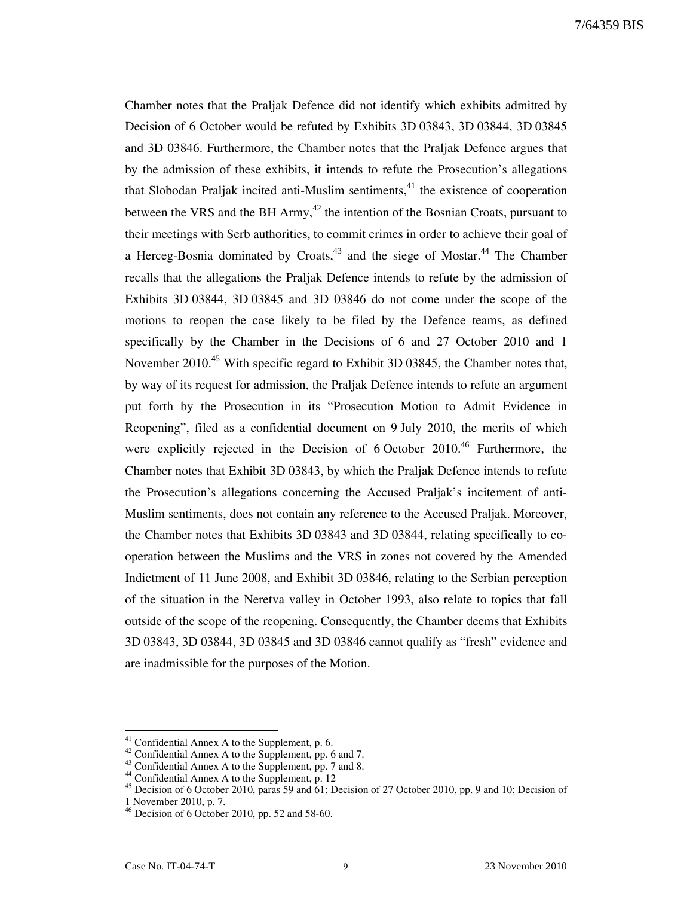Chamber notes that the Praljak Defence did not identify which exhibits admitted by Decision of 6 October would be refuted by Exhibits 3D 03843, 3D 03844, 3D 03845 and 3D 03846. Furthermore, the Chamber notes that the Praljak Defence argues that by the admission of these exhibits, it intends to refute the Prosecution's allegations that Slobodan Praljak incited anti-Muslim sentiments,  $41$  the existence of cooperation between the VRS and the BH Army,  $42$  the intention of the Bosnian Croats, pursuant to their meetings with Serb authorities, to commit crimes in order to achieve their goal of a Herceg-Bosnia dominated by Croats,<sup>43</sup> and the siege of Mostar.<sup>44</sup> The Chamber recalls that the allegations the Praljak Defence intends to refute by the admission of Exhibits 3D 03844, 3D 03845 and 3D 03846 do not come under the scope of the motions to reopen the case likely to be filed by the Defence teams, as defined specifically by the Chamber in the Decisions of 6 and 27 October 2010 and 1 November 2010.<sup>45</sup> With specific regard to Exhibit 3D 03845, the Chamber notes that, by way of its request for admission, the Praljak Defence intends to refute an argument put forth by the Prosecution in its "Prosecution Motion to Admit Evidence in Reopening", filed as a confidential document on 9 July 2010, the merits of which were explicitly rejected in the Decision of 6 October 2010.<sup>46</sup> Furthermore, the Chamber notes that Exhibit 3D 03843, by which the Praljak Defence intends to refute the Prosecution's allegations concerning the Accused Praljak's incitement of anti-Muslim sentiments, does not contain any reference to the Accused Praljak. Moreover, the Chamber notes that Exhibits 3D 03843 and 3D 03844, relating specifically to cooperation between the Muslims and the VRS in zones not covered by the Amended Indictment of 11 June 2008, and Exhibit 3D 03846, relating to the Serbian perception of the situation in the Neretva valley in October 1993, also relate to topics that fall outside of the scope of the reopening. Consequently, the Chamber deems that Exhibits 3D 03843, 3D 03844, 3D 03845 and 3D 03846 cannot qualify as "fresh" evidence and are inadmissible for the purposes of the Motion.

Confidential Annex A to the Supplement, p. 6.

<sup>&</sup>lt;sup>42</sup> Confidential Annex A to the Supplement, pp. 6 and 7.

 $^{43}$  Confidential Annex A to the Supplement, pp. 7 and 8.

<sup>44</sup> Confidential Annex A to the Supplement, p. 12

<sup>45</sup> Decision of 6 October 2010, paras 59 and 61; Decision of 27 October 2010, pp. 9 and 10; Decision of

<sup>1</sup> November 2010, p. 7.

 $46$  Decision of 6 October 2010, pp. 52 and 58-60.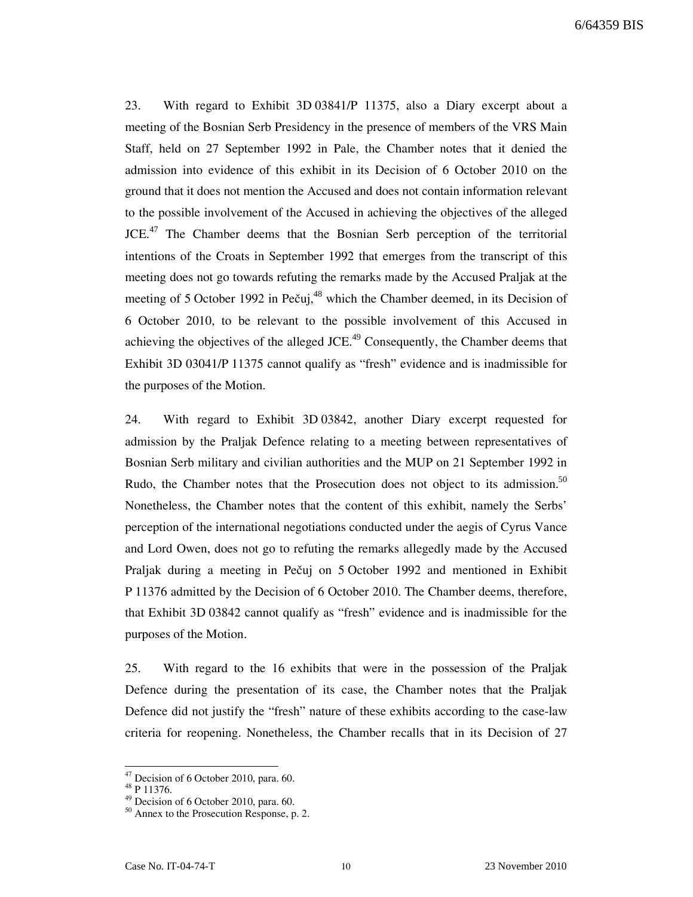23. With regard to Exhibit 3D 03841/P 11375, also a Diary excerpt about a meeting of the Bosnian Serb Presidency in the presence of members of the VRS Main Staff, held on 27 September 1992 in Pale, the Chamber notes that it denied the admission into evidence of this exhibit in its Decision of 6 October 2010 on the ground that it does not mention the Accused and does not contain information relevant to the possible involvement of the Accused in achieving the objectives of the alleged JCE.<sup>47</sup> The Chamber deems that the Bosnian Serb perception of the territorial intentions of the Croats in September 1992 that emerges from the transcript of this meeting does not go towards refuting the remarks made by the Accused Praljak at the meeting of 5 October 1992 in Pečuj, $48$  which the Chamber deemed, in its Decision of 6 October 2010, to be relevant to the possible involvement of this Accused in achieving the objectives of the alleged  $JCE<sup>49</sup>$  Consequently, the Chamber deems that Exhibit 3D 03041/P 11375 cannot qualify as "fresh" evidence and is inadmissible for the purposes of the Motion.

24. With regard to Exhibit 3D 03842, another Diary excerpt requested for admission by the Praljak Defence relating to a meeting between representatives of Bosnian Serb military and civilian authorities and the MUP on 21 September 1992 in Rudo, the Chamber notes that the Prosecution does not object to its admission.<sup>50</sup> Nonetheless, the Chamber notes that the content of this exhibit, namely the Serbs' perception of the international negotiations conducted under the aegis of Cyrus Vance and Lord Owen, does not go to refuting the remarks allegedly made by the Accused Praljak during a meeting in Pečuj on 5 October 1992 and mentioned in Exhibit P 11376 admitted by the Decision of 6 October 2010. The Chamber deems, therefore, that Exhibit 3D 03842 cannot qualify as "fresh" evidence and is inadmissible for the purposes of the Motion.

25. With regard to the 16 exhibits that were in the possession of the Praljak Defence during the presentation of its case, the Chamber notes that the Praljak Defence did not justify the "fresh" nature of these exhibits according to the case-law criteria for reopening. Nonetheless, the Chamber recalls that in its Decision of 27

<sup>&</sup>lt;sup>47</sup> Decision of 6 October 2010, para. 60.

 $48\bar{p}$  11376.

<sup>49</sup> Decision of 6 October 2010, para. 60.

<sup>50</sup> Annex to the Prosecution Response, p. 2.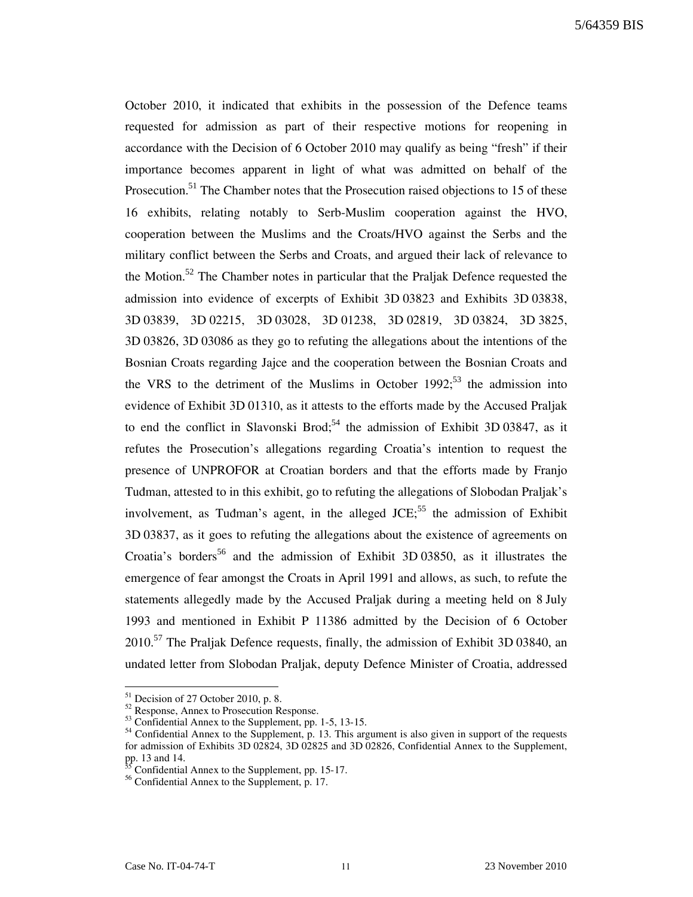October 2010, it indicated that exhibits in the possession of the Defence teams requested for admission as part of their respective motions for reopening in accordance with the Decision of 6 October 2010 may qualify as being "fresh" if their importance becomes apparent in light of what was admitted on behalf of the Prosecution.<sup>51</sup> The Chamber notes that the Prosecution raised objections to 15 of these 16 exhibits, relating notably to Serb-Muslim cooperation against the HVO, cooperation between the Muslims and the Croats/HVO against the Serbs and the military conflict between the Serbs and Croats, and argued their lack of relevance to the Motion.<sup>52</sup> The Chamber notes in particular that the Praljak Defence requested the admission into evidence of excerpts of Exhibit 3D 03823 and Exhibits 3D 03838, 3D 03839, 3D 02215, 3D 03028, 3D 01238, 3D 02819, 3D 03824, 3D 3825, 3D 03826, 3D 03086 as they go to refuting the allegations about the intentions of the Bosnian Croats regarding Jajce and the cooperation between the Bosnian Croats and the VRS to the detriment of the Muslims in October 1992;<sup>53</sup> the admission into evidence of Exhibit 3D 01310, as it attests to the efforts made by the Accused Praljak to end the conflict in Slavonski Brod;<sup>54</sup> the admission of Exhibit 3D 03847, as it refutes the Prosecution's allegations regarding Croatia's intention to request the presence of UNPROFOR at Croatian borders and that the efforts made by Franjo Tudman, attested to in this exhibit, go to refuting the allegations of Slobodan Praljak's involvement, as Tudman's agent, in the alleged  $JCE$ ;<sup>55</sup> the admission of Exhibit 3D 03837, as it goes to refuting the allegations about the existence of agreements on Croatia's borders<sup>56</sup> and the admission of Exhibit 3D 03850, as it illustrates the emergence of fear amongst the Croats in April 1991 and allows, as such, to refute the statements allegedly made by the Accused Praljak during a meeting held on 8 July 1993 and mentioned in Exhibit P 11386 admitted by the Decision of 6 October  $2010$ <sup>57</sup> The Praljak Defence requests, finally, the admission of Exhibit 3D 03840, an undated letter from Slobodan Praljak, deputy Defence Minister of Croatia, addressed

<sup>&</sup>lt;sup>51</sup> Decision of 27 October 2010, p. 8.

<sup>52</sup> Response, Annex to Prosecution Response.

 $53$  Confidential Annex to the Supplement, pp. 1-5, 13-15.

<sup>&</sup>lt;sup>54</sup> Confidential Annex to the Supplement, p. 13. This argument is also given in support of the requests for admission of Exhibits 3D 02824, 3D 02825 and 3D 02826, Confidential Annex to the Supplement, pp. 13 and 14.

Confidential Annex to the Supplement, pp. 15-17.

<sup>&</sup>lt;sup>56</sup> Confidential Annex to the Supplement, p. 17.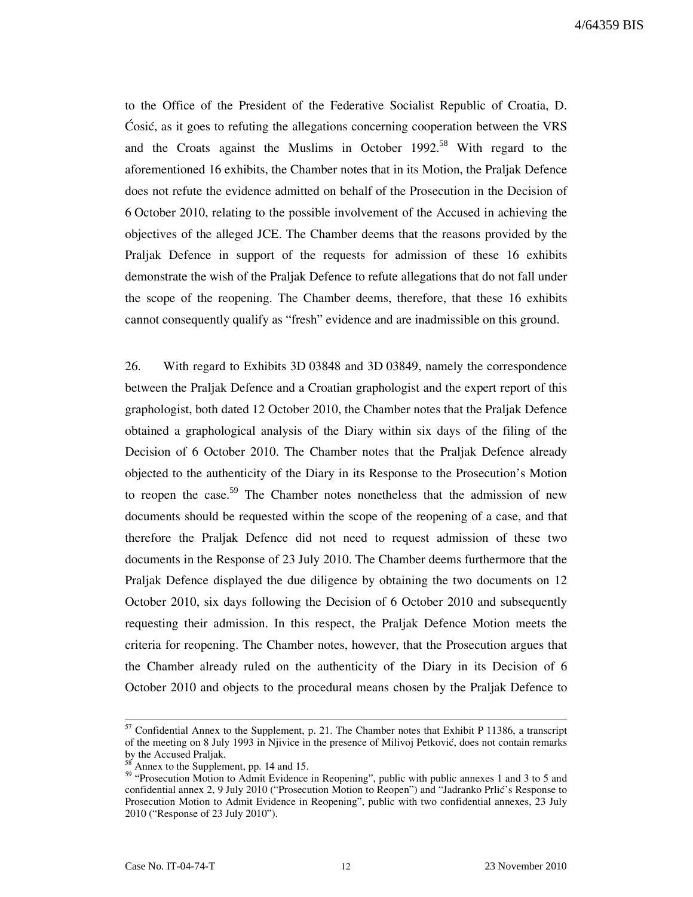to the Office of the President of the Federative Socialist Republic of Croatia, D. Cosić, as it goes to refuting the allegations concerning cooperation between the VRS and the Croats against the Muslims in October  $1992$ <sup>58</sup> With regard to the aforementioned 16 exhibits, the Chamber notes that in its Motion, the Praljak Defence does not refute the evidence admitted on behalf of the Prosecution in the Decision of 6 October 2010, relating to the possible involvement of the Accused in achieving the objectives of the alleged JCE. The Chamber deems that the reasons provided by the Praljak Defence in support of the requests for admission of these 16 exhibits demonstrate the wish of the Praljak Defence to refute allegations that do not fall under the scope of the reopening. The Chamber deems, therefore, that these 16 exhibits cannot consequently qualify as "fresh" evidence and are inadmissible on this ground.

26. With regard to Exhibits 3D 03848 and 3D 03849, namely the correspondence between the Praljak Defence and a Croatian graphologist and the expert report of this graphologist, both dated 12 October 2010, the Chamber notes that the Praljak Defence obtained a graphological analysis of the Diary within six days of the filing of the Decision of 6 October 2010. The Chamber notes that the Praljak Defence already objected to the authenticity of the Diary in its Response to the Prosecution's Motion to reopen the case.<sup>59</sup> The Chamber notes nonetheless that the admission of new documents should be requested within the scope of the reopening of a case, and that therefore the Praljak Defence did not need to request admission of these two documents in the Response of 23 July 2010. The Chamber deems furthermore that the Praljak Defence displayed the due diligence by obtaining the two documents on 12 October 2010, six days following the Decision of 6 October 2010 and subsequently requesting their admission. In this respect, the Praljak Defence Motion meets the criteria for reopening. The Chamber notes, however, that the Prosecution argues that the Chamber already ruled on the authenticity of the Diary in its Decision of 6 October 2010 and objects to the procedural means chosen by the Praljak Defence to

 $57$  Confidential Annex to the Supplement, p. 21. The Chamber notes that Exhibit P 11386, a transcript of the meeting on 8 July 1993 in Njivice in the presence of Milivoj Petković, does not contain remarks by the Accused Praljak.

Annex to the Supplement, pp. 14 and 15.

<sup>&</sup>lt;sup>59</sup> "Prosecution Motion to Admit Evidence in Reopening", public with public annexes 1 and 3 to 5 and confidential annex 2, 9 July 2010 ("Prosecution Motion to Reopen") and "Jadranko Prlić's Response to Prosecution Motion to Admit Evidence in Reopening", public with two confidential annexes, 23 July 2010 ("Response of 23 July 2010").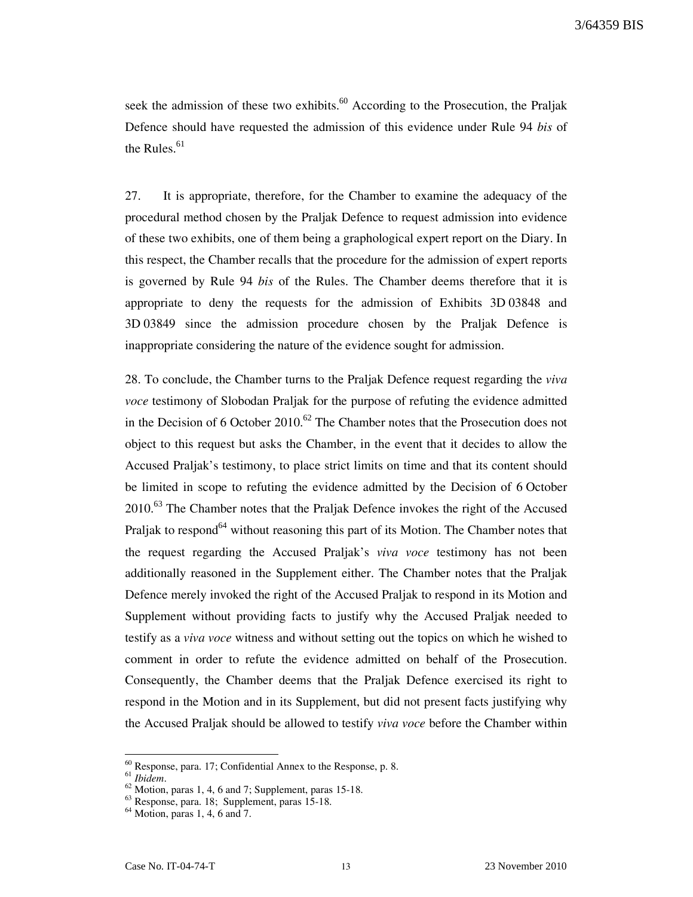seek the admission of these two exhibits.<sup>60</sup> According to the Prosecution, the Praljak Defence should have requested the admission of this evidence under Rule 94 bis of the Rules. $61$ 

27. It is appropriate, therefore, for the Chamber to examine the adequacy of the procedural method chosen by the Praljak Defence to request admission into evidence of these two exhibits, one of them being a graphological expert report on the Diary. In this respect, the Chamber recalls that the procedure for the admission of expert reports is governed by Rule 94 bis of the Rules. The Chamber deems therefore that it is appropriate to deny the requests for the admission of Exhibits 3D 03848 and 3D 03849 since the admission procedure chosen by the Praljak Defence is inappropriate considering the nature of the evidence sought for admission.

28. To conclude, the Chamber turns to the Praljak Defence request regarding the viva voce testimony of Slobodan Praljak for the purpose of refuting the evidence admitted in the Decision of 6 October 2010.<sup>62</sup> The Chamber notes that the Prosecution does not object to this request but asks the Chamber, in the event that it decides to allow the Accused Praljak's testimony, to place strict limits on time and that its content should be limited in scope to refuting the evidence admitted by the Decision of 6 October 2010.<sup>63</sup> The Chamber notes that the Praljak Defence invokes the right of the Accused Praljak to respond<sup>64</sup> without reasoning this part of its Motion. The Chamber notes that the request regarding the Accused Praljak's viva voce testimony has not been additionally reasoned in the Supplement either. The Chamber notes that the Praljak Defence merely invoked the right of the Accused Praljak to respond in its Motion and Supplement without providing facts to justify why the Accused Praljak needed to testify as a *viva voce* witness and without setting out the topics on which he wished to comment in order to refute the evidence admitted on behalf of the Prosecution. Consequently, the Chamber deems that the Praljak Defence exercised its right to respond in the Motion and in its Supplement, but did not present facts justifying why the Accused Praljak should be allowed to testify viva voce before the Chamber within

<sup>60</sup> Response, para. 17; Confidential Annex to the Response, p. 8.

 $61$  Ibidem.

<sup>62</sup> Motion, paras 1, 4, 6 and 7; Supplement, paras 15-18.

 $^{63}$  Response, para. 18; Supplement, paras 15-18.

<sup>64</sup> Motion, paras 1, 4, 6 and 7.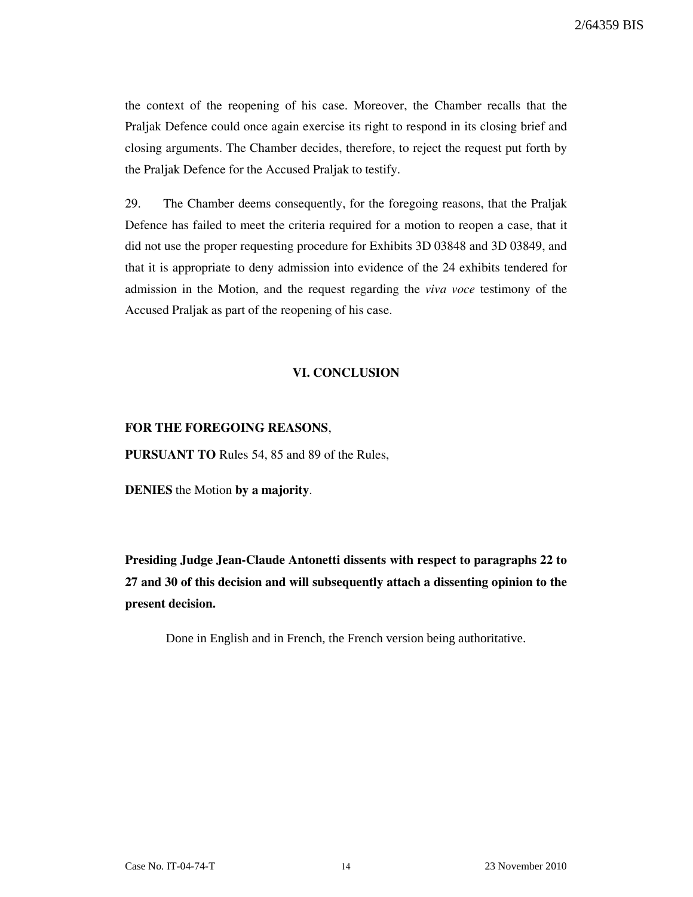the context of the reopening of his case. Moreover, the Chamber recalls that the Praljak Defence could once again exercise its right to respond in its closing brief and closing arguments. The Chamber decides, therefore, to reject the request put forth by the Praljak Defence for the Accused Praljak to testify.

29. The Chamber deems consequently, for the foregoing reasons, that the Praljak Defence has failed to meet the criteria required for a motion to reopen a case, that it did not use the proper requesting procedure for Exhibits 3D 03848 and 3D 03849, and that it is appropriate to deny admission into evidence of the 24 exhibits tendered for admission in the Motion, and the request regarding the viva voce testimony of the Accused Praljak as part of the reopening of his case.

## VI. CONCLUSION

#### FOR THE FOREGOING REASONS,

PURSUANT TO Rules 54, 85 and 89 of the Rules,

DENIES the Motion by a majority.

Presiding Judge Jean-Claude Antonetti dissents with respect to paragraphs 22 to 27 and 30 of this decision and will subsequently attach a dissenting opinion to the present decision.

Done in English and in French, the French version being authoritative.